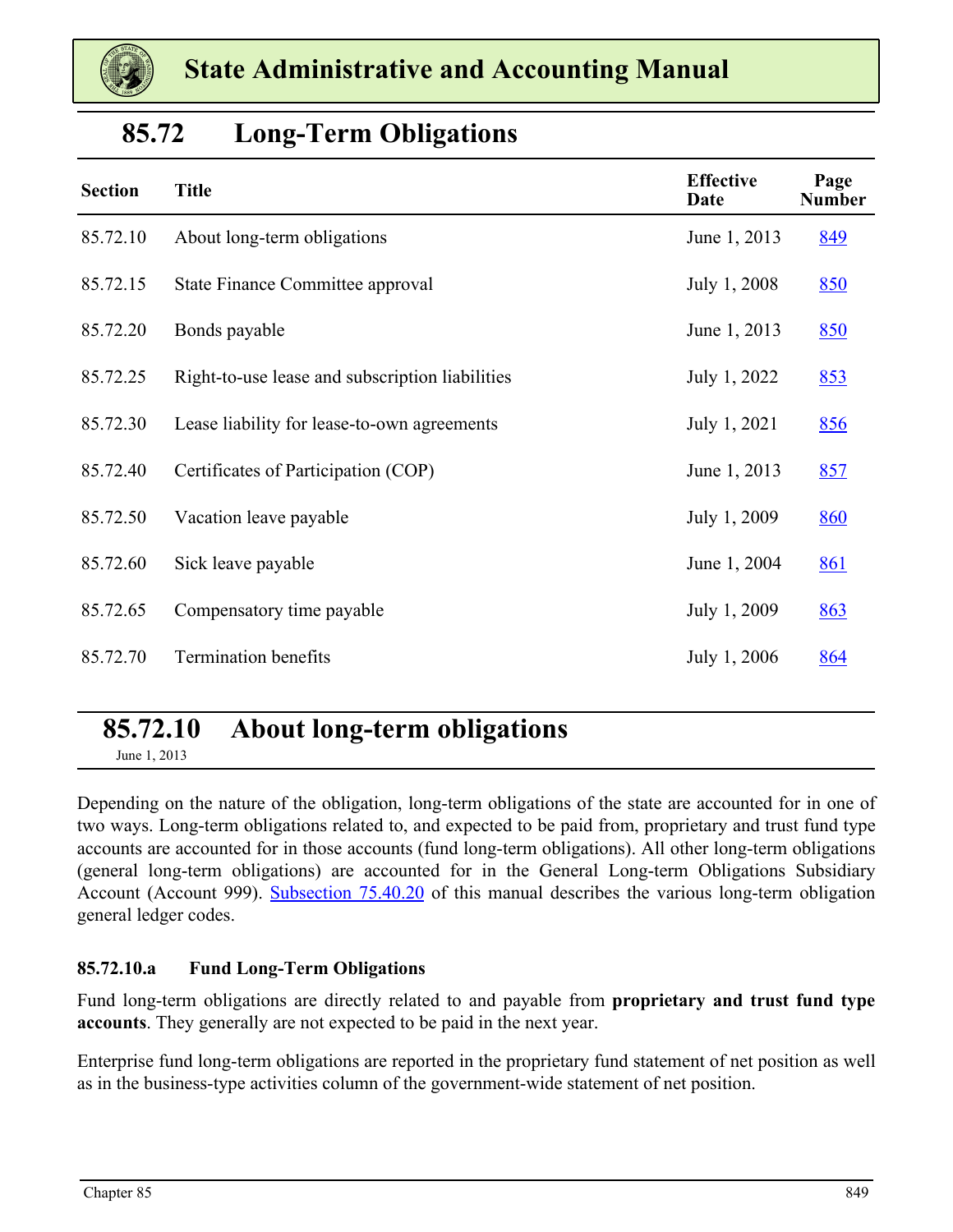

| <b>Section</b> | <b>Title</b>                                    | <b>Effective</b><br>Date | Page<br><b>Number</b> |
|----------------|-------------------------------------------------|--------------------------|-----------------------|
| 85.72.10       | About long-term obligations                     | June 1, 2013             | 849                   |
| 85.72.15       | <b>State Finance Committee approval</b>         | July 1, 2008             | 850                   |
| 85.72.20       | Bonds payable                                   | June 1, 2013             | 850                   |
| 85.72.25       | Right-to-use lease and subscription liabilities | July 1, 2022             | <u>853</u>            |
| 85.72.30       | Lease liability for lease-to-own agreements     | July 1, 2021             | 856                   |
| 85.72.40       | Certificates of Participation (COP)             | June 1, 2013             | 857                   |
| 85.72.50       | Vacation leave payable                          | July 1, 2009             | 860                   |
| 85.72.60       | Sick leave payable                              | June 1, 2004             | <u>861</u>            |
| 85.72.65       | Compensatory time payable                       | July 1, 2009             | <u>863</u>            |
| 85.72.70       | <b>Termination benefits</b>                     | July 1, 2006             | 864                   |

# **85.72 Long-Term Obligations**

# **85.72.10 About long-term obligations**

June 1, 2013

Depending on the nature of the obligation, long-term obligations of the state are accounted for in one of two ways. Long-term obligations related to, and expected to be paid from, proprietary and trust fund type accounts are accounted for in those accounts (fund long-term obligations). All other long-term obligations (general long-term obligations) are accounted for in the General Long-term Obligations Subsidiary Account (Account 999). Subsection 75.40.20 of this manual describes the various long-term obligation general ledger codes.

### **85.72.10.a Fund Long-Term Obligations**

Fund long-term obligations are directly related to and payable from **proprietary and trust fund type accounts**. They generally are not expected to be paid in the next year.

Enterprise fund long-term obligations are reported in the proprietary fund statement of net position as well as in the business-type activities column of the government-wide statement of net position.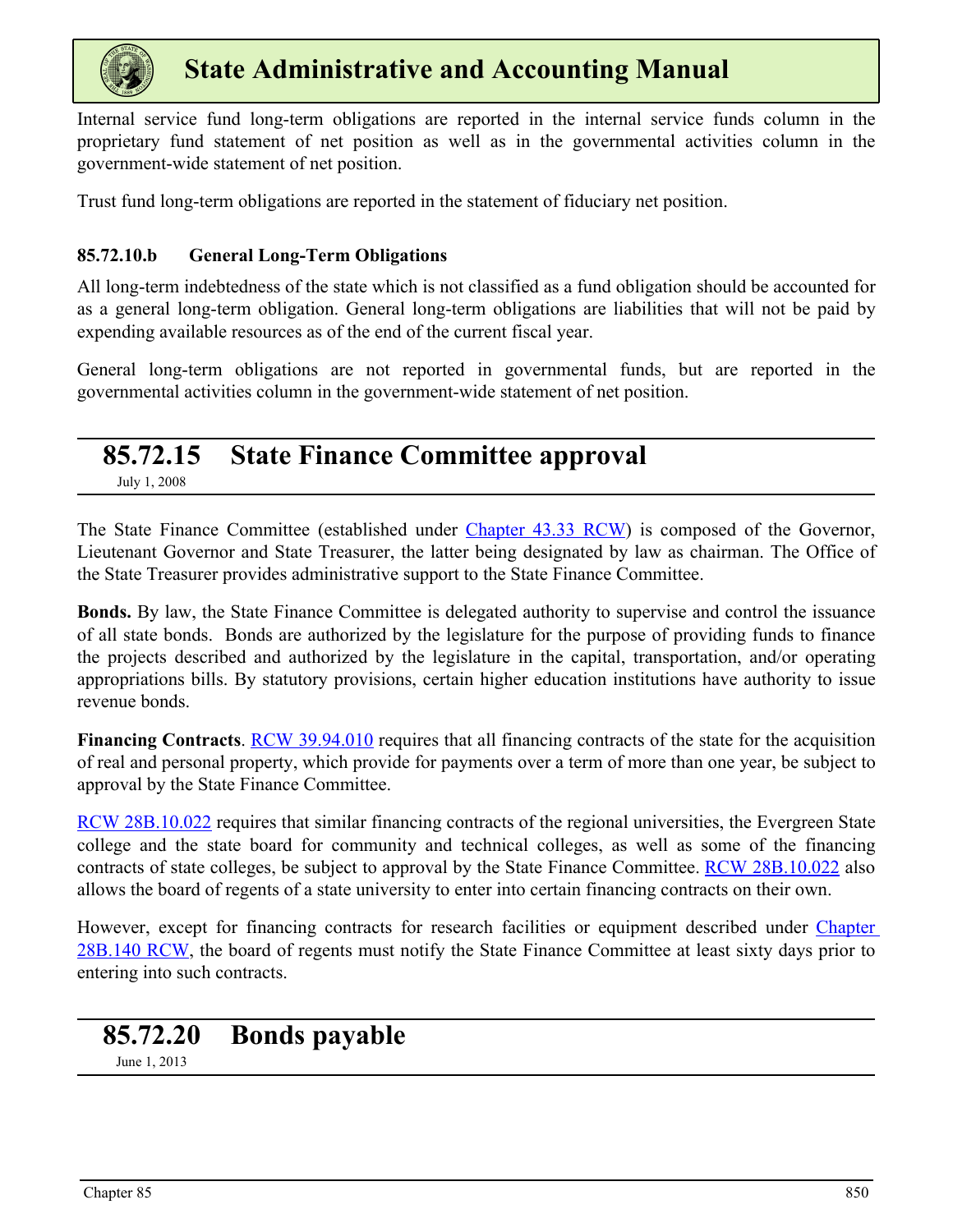<span id="page-1-0"></span>

Internal service fund long-term obligations are reported in the internal service funds column in the proprietary fund statement of net position as well as in the governmental activities column in the government-wide statement of net position.

Trust fund long-term obligations are reported in the statement of fiduciary net position.

### **85.72.10.b General Long-Term Obligations**

All long-term indebtedness of the state which is not classified as a fund obligation should be accounted for as a general long-term obligation. General long-term obligations are liabilities that will not be paid by expending available resources as of the end of the current fiscal year.

General long-term obligations are not reported in governmental funds, but are reported in the governmental activities column in the government-wide statement of net position.

# **85.72.15 State Finance Committee approval**

July 1, 2008

The State Finance Committee (established under [Chapter 43.33 RCW](https://app.leg.wa.gov/RCW/default.aspx?cite=43.33)) is composed of the Governor, Lieutenant Governor and State Treasurer, the latter being designated by law as chairman. The Office of the State Treasurer provides administrative support to the State Finance Committee.

**Bonds.** By law, the State Finance Committee is delegated authority to supervise and control the issuance of all state bonds. Bonds are authorized by the legislature for the purpose of providing funds to finance the projects described and authorized by the legislature in the capital, transportation, and/or operating appropriations bills. By statutory provisions, certain higher education institutions have authority to issue revenue bonds.

**Financing Contracts**. [RCW 39.94.010](https://app.leg.wa.gov/RCW/default.aspx?cite=39.94.010) requires that all financing contracts of the state for the acquisition of real and personal property, which provide for payments over a term of more than one year, be subject to approval by the State Finance Committee.

[RCW 28B.10.022](https://apps.leg.wa.gov/rcw/default.aspx?cite=28B.10.022) requires that similar financing contracts of the regional universities, the Evergreen State college and the state board for community and technical colleges, as well as some of the financing contracts of state colleges, be subject to approval by the State Finance Committee. [RCW 28B.10.022](https://apps.leg.wa.gov/rcw/default.aspx?cite=28B.10.022) also allows the board of regents of a state university to enter into certain financing contracts on their own.

However, except for financing contracts for research facilities or equipment described under [Chapter](https://app.leg.wa.gov/RCW/default.aspx?cite=28B.140)  [28B.140 RCW](https://app.leg.wa.gov/RCW/default.aspx?cite=28B.140), the board of regents must notify the State Finance Committee at least sixty days prior to entering into such contracts.

### **85.72.20 Bonds payable**

June 1, 2013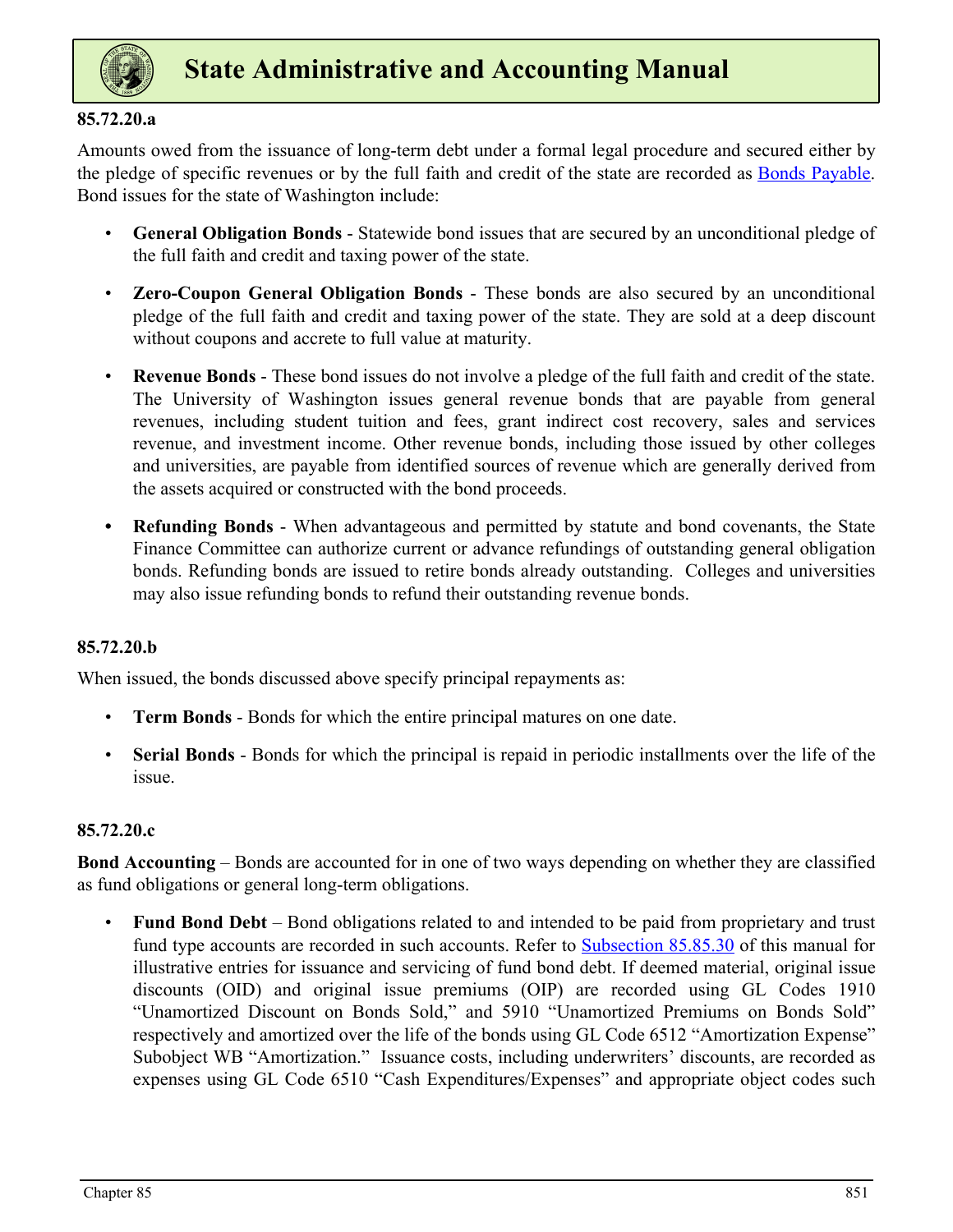

#### **85.72.20.a**

Amounts owed from the issuance of long-term debt under a formal legal procedure and secured either by the pledge of specific revenues or by the full faith and credit of the state are recorded as Bonds Payable. Bond issues for the state of Washington include:

- **General Obligation Bonds** Statewide bond issues that are secured by an unconditional pledge of the full faith and credit and taxing power of the state.
- **Zero-Coupon General Obligation Bonds**  These bonds are also secured by an unconditional pledge of the full faith and credit and taxing power of the state. They are sold at a deep discount without coupons and accrete to full value at maturity.
- **Revenue Bonds** These bond issues do not involve a pledge of the full faith and credit of the state. The University of Washington issues general revenue bonds that are payable from general revenues, including student tuition and fees, grant indirect cost recovery, sales and services revenue, and investment income. Other revenue bonds, including those issued by other colleges and universities, are payable from identified sources of revenue which are generally derived from the assets acquired or constructed with the bond proceeds.
- **• Refunding Bonds** When advantageous and permitted by statute and bond covenants, the State Finance Committee can authorize current or advance refundings of outstanding general obligation bonds. Refunding bonds are issued to retire bonds already outstanding. Colleges and universities may also issue refunding bonds to refund their outstanding revenue bonds.

#### **85.72.20.b**

When issued, the bonds discussed above specify principal repayments as:

- **Term Bonds** Bonds for which the entire principal matures on one date.
- **Serial Bonds** Bonds for which the principal is repaid in periodic installments over the life of the issue.

#### **85.72.20.c**

**Bond Accounting** – Bonds are accounted for in one of two ways depending on whether they are classified as fund obligations or general long-term obligations.

• **Fund Bond Debt** – Bond obligations related to and intended to be paid from proprietary and trust fund type accounts are recorded in such accounts. Refer to Subsection 85.85.30 of this manual for illustrative entries for issuance and servicing of fund bond debt. If deemed material, original issue discounts (OID) and original issue premiums (OIP) are recorded using GL Codes 1910 "Unamortized Discount on Bonds Sold," and 5910 "Unamortized Premiums on Bonds Sold" respectively and amortized over the life of the bonds using GL Code 6512 "Amortization Expense" Subobject WB "Amortization." Issuance costs, including underwriters' discounts, are recorded as expenses using GL Code 6510 "Cash Expenditures/Expenses" and appropriate object codes such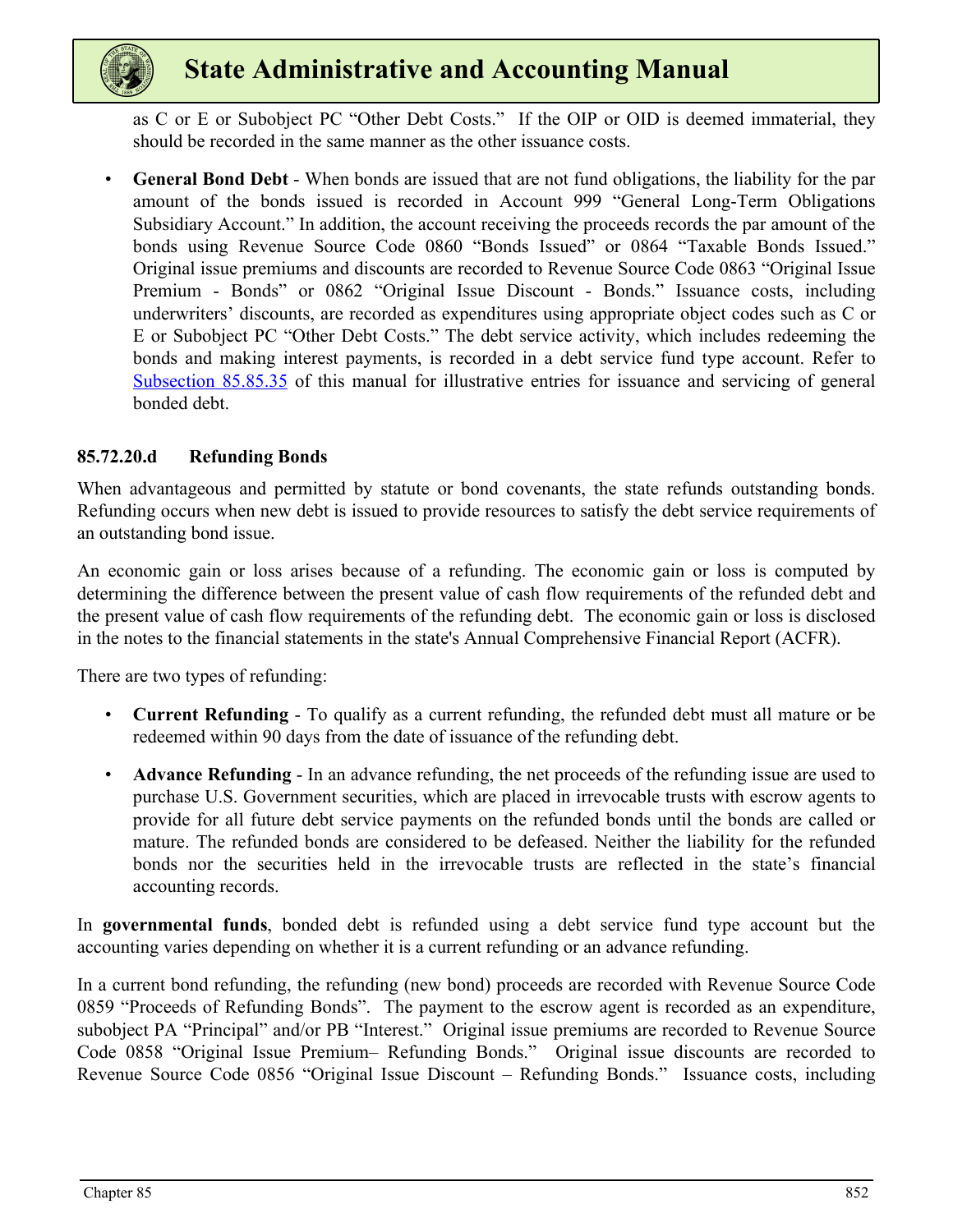

as C or E or Subobject PC "Other Debt Costs." If the OIP or OID is deemed immaterial, they should be recorded in the same manner as the other issuance costs.

• **General Bond Debt** - When bonds are issued that are not fund obligations, the liability for the par amount of the bonds issued is recorded in Account 999 "General Long-Term Obligations Subsidiary Account." In addition, the account receiving the proceeds records the par amount of the bonds using Revenue Source Code 0860 "Bonds Issued" or 0864 "Taxable Bonds Issued." Original issue premiums and discounts are recorded to Revenue Source Code 0863 "Original Issue Premium - Bonds" or 0862 "Original Issue Discount - Bonds." Issuance costs, including underwriters' discounts, are recorded as expenditures using appropriate object codes such as C or E or Subobject PC "Other Debt Costs." The debt service activity, which includes redeeming the bonds and making interest payments, is recorded in a debt service fund type account. Refer to Subsection 85.85.35 of this manual for illustrative entries for issuance and servicing of general bonded debt.

#### **85.72.20.d Refunding Bonds**

When advantageous and permitted by statute or bond covenants, the state refunds outstanding bonds. Refunding occurs when new debt is issued to provide resources to satisfy the debt service requirements of an outstanding bond issue.

An economic gain or loss arises because of a refunding. The economic gain or loss is computed by determining the difference between the present value of cash flow requirements of the refunded debt and the present value of cash flow requirements of the refunding debt. The economic gain or loss is disclosed in the notes to the financial statements in the state's Annual Comprehensive Financial Report (ACFR).

There are two types of refunding:

- **Current Refunding**  To qualify as a current refunding, the refunded debt must all mature or be redeemed within 90 days from the date of issuance of the refunding debt.
- **Advance Refunding** In an advance refunding, the net proceeds of the refunding issue are used to purchase U.S. Government securities, which are placed in irrevocable trusts with escrow agents to provide for all future debt service payments on the refunded bonds until the bonds are called or mature. The refunded bonds are considered to be defeased. Neither the liability for the refunded bonds nor the securities held in the irrevocable trusts are reflected in the state's financial accounting records.

In **governmental funds**, bonded debt is refunded using a debt service fund type account but the accounting varies depending on whether it is a current refunding or an advance refunding.

In a current bond refunding, the refunding (new bond) proceeds are recorded with Revenue Source Code 0859 "Proceeds of Refunding Bonds". The payment to the escrow agent is recorded as an expenditure, subobject PA "Principal" and/or PB "Interest." Original issue premiums are recorded to Revenue Source Code 0858 "Original Issue Premium– Refunding Bonds." Original issue discounts are recorded to Revenue Source Code 0856 "Original Issue Discount – Refunding Bonds." Issuance costs, including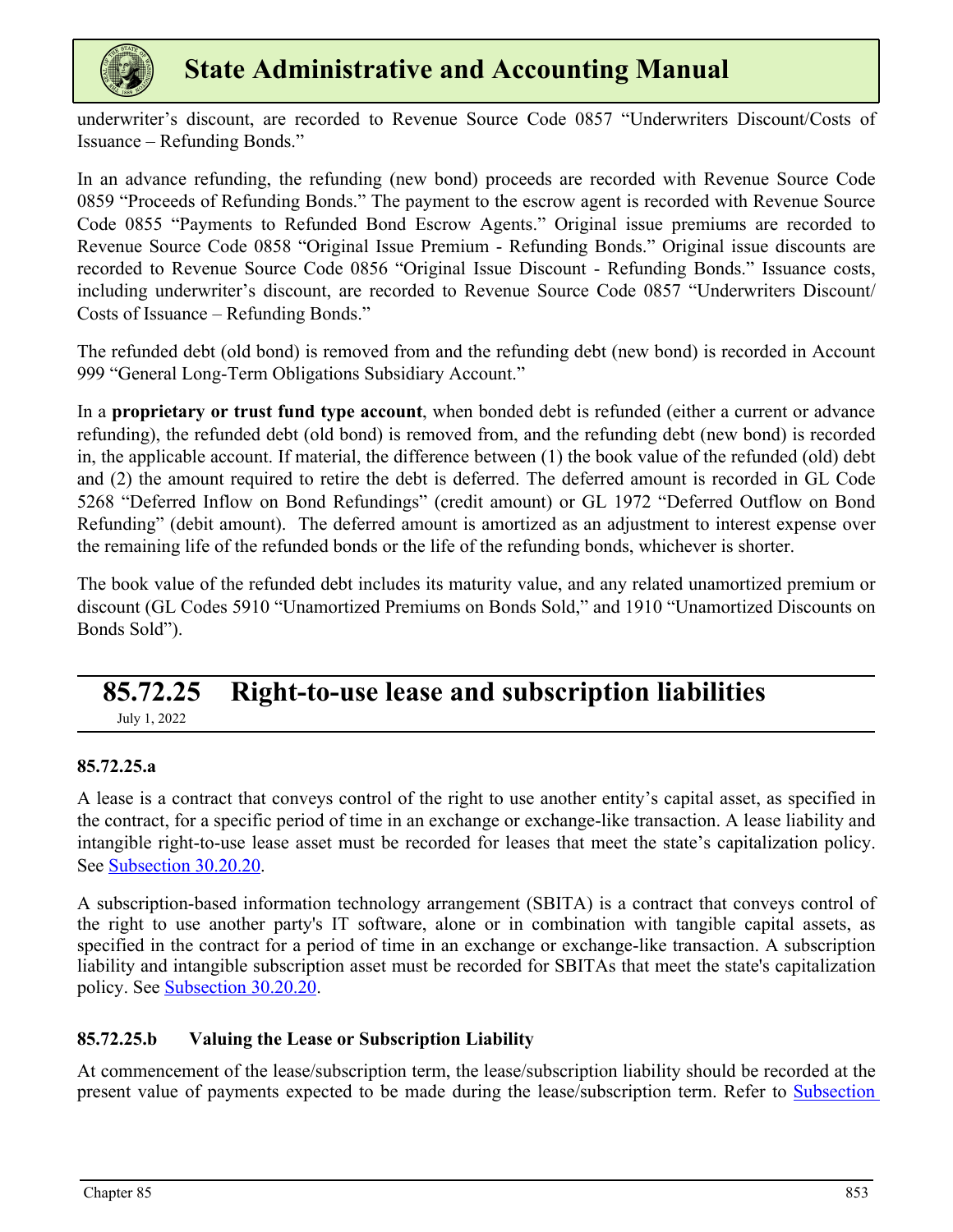<span id="page-4-0"></span>

underwriter's discount, are recorded to Revenue Source Code 0857 "Underwriters Discount/Costs of Issuance – Refunding Bonds."

In an advance refunding, the refunding (new bond) proceeds are recorded with Revenue Source Code 0859 "Proceeds of Refunding Bonds." The payment to the escrow agent is recorded with Revenue Source Code 0855 "Payments to Refunded Bond Escrow Agents." Original issue premiums are recorded to Revenue Source Code 0858 "Original Issue Premium - Refunding Bonds." Original issue discounts are recorded to Revenue Source Code 0856 "Original Issue Discount - Refunding Bonds." Issuance costs, including underwriter's discount, are recorded to Revenue Source Code 0857 "Underwriters Discount/ Costs of Issuance – Refunding Bonds."

The refunded debt (old bond) is removed from and the refunding debt (new bond) is recorded in Account 999 "General Long-Term Obligations Subsidiary Account."

In a **proprietary or trust fund type account**, when bonded debt is refunded (either a current or advance refunding), the refunded debt (old bond) is removed from, and the refunding debt (new bond) is recorded in, the applicable account. If material, the difference between (1) the book value of the refunded (old) debt and (2) the amount required to retire the debt is deferred. The deferred amount is recorded in GL Code 5268 "Deferred Inflow on Bond Refundings" (credit amount) or GL 1972 "Deferred Outflow on Bond Refunding" (debit amount). The deferred amount is amortized as an adjustment to interest expense over the remaining life of the refunded bonds or the life of the refunding bonds, whichever is shorter.

The book value of the refunded debt includes its maturity value, and any related unamortized premium or discount (GL Codes 5910 "Unamortized Premiums on Bonds Sold," and 1910 "Unamortized Discounts on Bonds Sold").

# **85.72.25 Right-to-use lease and subscription liabilities**

July 1, 2022

### **85.72.25.a**

A lease is a contract that conveys control of the right to use another entity's capital asset, as specified in the contract, for a specific period of time in an exchange or exchange-like transaction. A lease liability and intangible right-to-use lease asset must be recorded for leases that meet the state's capitalization policy. See Subsection 30.20.20.

A subscription-based information technology arrangement (SBITA) is a contract that conveys control of the right to use another party's IT software, alone or in combination with tangible capital assets, as specified in the contract for a period of time in an exchange or exchange-like transaction. A subscription liability and intangible subscription asset must be recorded for SBITAs that meet the state's capitalization policy. See Subsection 30.20.20.

### **85.72.25.b Valuing the Lease or Subscription Liability**

At commencement of the lease/subscription term, the lease/subscription liability should be recorded at the present value of payments expected to be made during the lease/subscription term. Refer to Subsection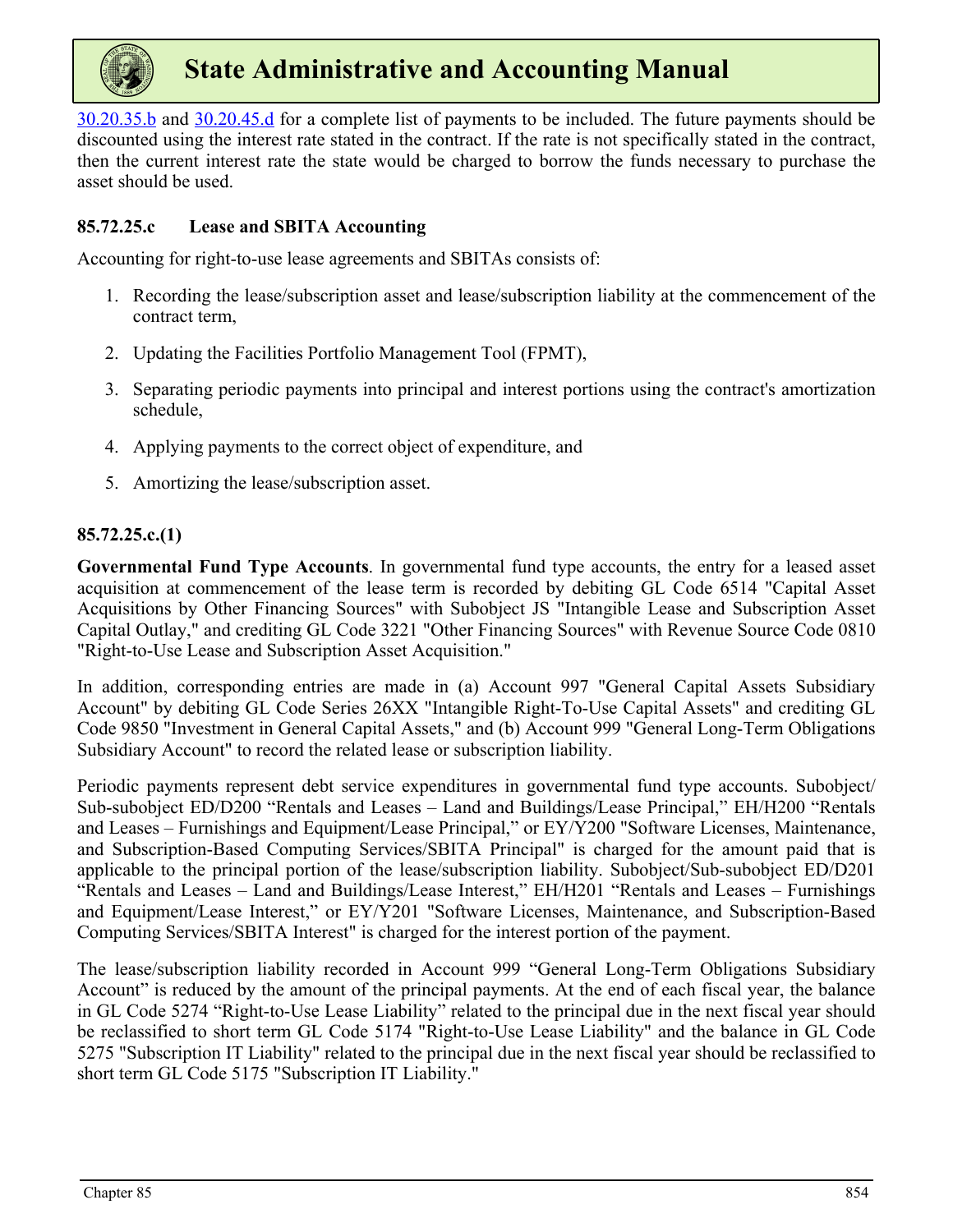

30.20.35.b and 30.20.45.d for a complete list of payments to be included. The future payments should be discounted using the interest rate stated in the contract. If the rate is not specifically stated in the contract, then the current interest rate the state would be charged to borrow the funds necessary to purchase the asset should be used.

#### **85.72.25.c Lease and SBITA Accounting**

Accounting for right-to-use lease agreements and SBITAs consists of:

- 1. Recording the lease/subscription asset and lease/subscription liability at the commencement of the contract term,
- 2. Updating the Facilities Portfolio Management Tool (FPMT),
- 3. Separating periodic payments into principal and interest portions using the contract's amortization schedule,
- 4. Applying payments to the correct object of expenditure, and
- 5. Amortizing the lease/subscription asset.

#### **85.72.25.c.(1)**

**Governmental Fund Type Accounts**. In governmental fund type accounts, the entry for a leased asset acquisition at commencement of the lease term is recorded by debiting GL Code 6514 "Capital Asset Acquisitions by Other Financing Sources" with Subobject JS "Intangible Lease and Subscription Asset Capital Outlay," and crediting GL Code 3221 "Other Financing Sources" with Revenue Source Code 0810 "Right-to-Use Lease and Subscription Asset Acquisition."

In addition, corresponding entries are made in (a) Account 997 "General Capital Assets Subsidiary Account" by debiting GL Code Series 26XX "Intangible Right-To-Use Capital Assets" and crediting GL Code 9850 "Investment in General Capital Assets," and (b) Account 999 "General Long-Term Obligations Subsidiary Account" to record the related lease or subscription liability.

Periodic payments represent debt service expenditures in governmental fund type accounts. Subobject/ Sub-subobject ED/D200 "Rentals and Leases – Land and Buildings/Lease Principal," EH/H200 "Rentals and Leases – Furnishings and Equipment/Lease Principal," or EY/Y200 "Software Licenses, Maintenance, and Subscription-Based Computing Services/SBITA Principal" is charged for the amount paid that is applicable to the principal portion of the lease/subscription liability. Subobject/Sub-subobject ED/D201 "Rentals and Leases – Land and Buildings/Lease Interest," EH/H201 "Rentals and Leases – Furnishings and Equipment/Lease Interest," or EY/Y201 "Software Licenses, Maintenance, and Subscription-Based Computing Services/SBITA Interest" is charged for the interest portion of the payment.

The lease/subscription liability recorded in Account 999 "General Long-Term Obligations Subsidiary Account" is reduced by the amount of the principal payments. At the end of each fiscal year, the balance in GL Code 5274 "Right-to-Use Lease Liability" related to the principal due in the next fiscal year should be reclassified to short term GL Code 5174 "Right-to-Use Lease Liability" and the balance in GL Code 5275 "Subscription IT Liability" related to the principal due in the next fiscal year should be reclassified to short term GL Code 5175 "Subscription IT Liability."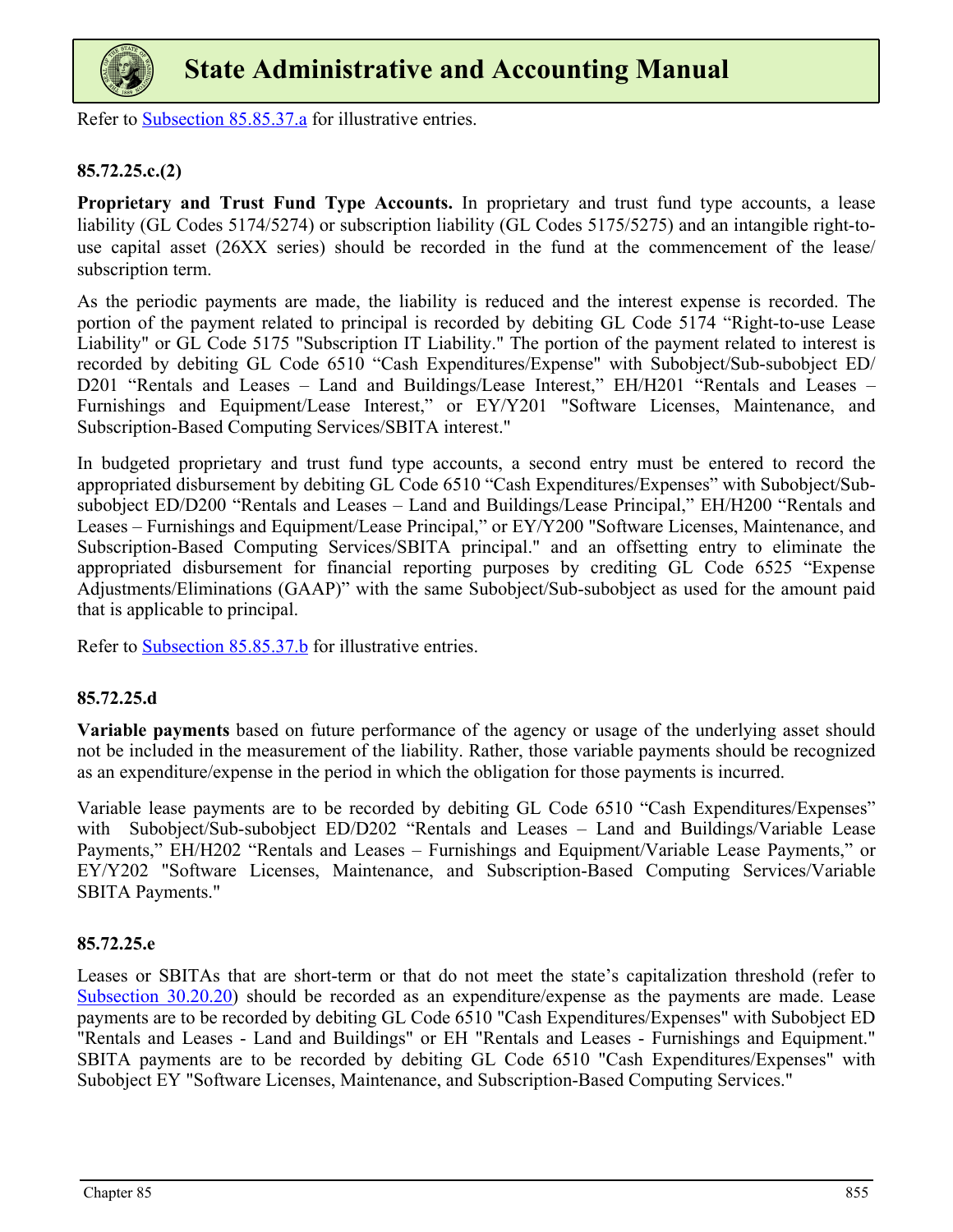

Refer to Subsection 85.85.37.a for illustrative entries.

#### **85.72.25.c.(2)**

**Proprietary and Trust Fund Type Accounts.** In proprietary and trust fund type accounts, a lease liability (GL Codes 5174/5274) or subscription liability (GL Codes 5175/5275) and an intangible right-touse capital asset (26XX series) should be recorded in the fund at the commencement of the lease/ subscription term.

As the periodic payments are made, the liability is reduced and the interest expense is recorded. The portion of the payment related to principal is recorded by debiting GL Code 5174 "Right-to-use Lease Liability" or GL Code 5175 "Subscription IT Liability." The portion of the payment related to interest is recorded by debiting GL Code 6510 "Cash Expenditures/Expense" with Subobject/Sub-subobject ED/ D201 "Rentals and Leases – Land and Buildings/Lease Interest," EH/H201 "Rentals and Leases – Furnishings and Equipment/Lease Interest," or EY/Y201 "Software Licenses, Maintenance, and Subscription-Based Computing Services/SBITA interest."

In budgeted proprietary and trust fund type accounts, a second entry must be entered to record the appropriated disbursement by debiting GL Code 6510 "Cash Expenditures/Expenses" with Subobject/Subsubobject ED/D200 "Rentals and Leases – Land and Buildings/Lease Principal," EH/H200 "Rentals and Leases – Furnishings and Equipment/Lease Principal," or EY/Y200 "Software Licenses, Maintenance, and Subscription-Based Computing Services/SBITA principal." and an offsetting entry to eliminate the appropriated disbursement for financial reporting purposes by crediting GL Code 6525 "Expense Adjustments/Eliminations (GAAP)" with the same Subobject/Sub-subobject as used for the amount paid that is applicable to principal.

Refer to Subsection 85.85.37.b for illustrative entries.

#### **85.72.25.d**

**Variable payments** based on future performance of the agency or usage of the underlying asset should not be included in the measurement of the liability. Rather, those variable payments should be recognized as an expenditure/expense in the period in which the obligation for those payments is incurred.

Variable lease payments are to be recorded by debiting GL Code 6510 "Cash Expenditures/Expenses" with Subobject/Sub-subobject ED/D202 "Rentals and Leases – Land and Buildings/Variable Lease Payments," EH/H202 "Rentals and Leases – Furnishings and Equipment/Variable Lease Payments," or EY/Y202 "Software Licenses, Maintenance, and Subscription-Based Computing Services/Variable SBITA Payments."

#### **85.72.25.e**

Leases or SBITAs that are short-term or that do not meet the state's capitalization threshold (refer to Subsection 30.20.20) should be recorded as an expenditure/expense as the payments are made. Lease payments are to be recorded by debiting GL Code 6510 "Cash Expenditures/Expenses" with Subobject ED "Rentals and Leases - Land and Buildings" or EH "Rentals and Leases - Furnishings and Equipment." SBITA payments are to be recorded by debiting GL Code 6510 "Cash Expenditures/Expenses" with Subobject EY "Software Licenses, Maintenance, and Subscription-Based Computing Services."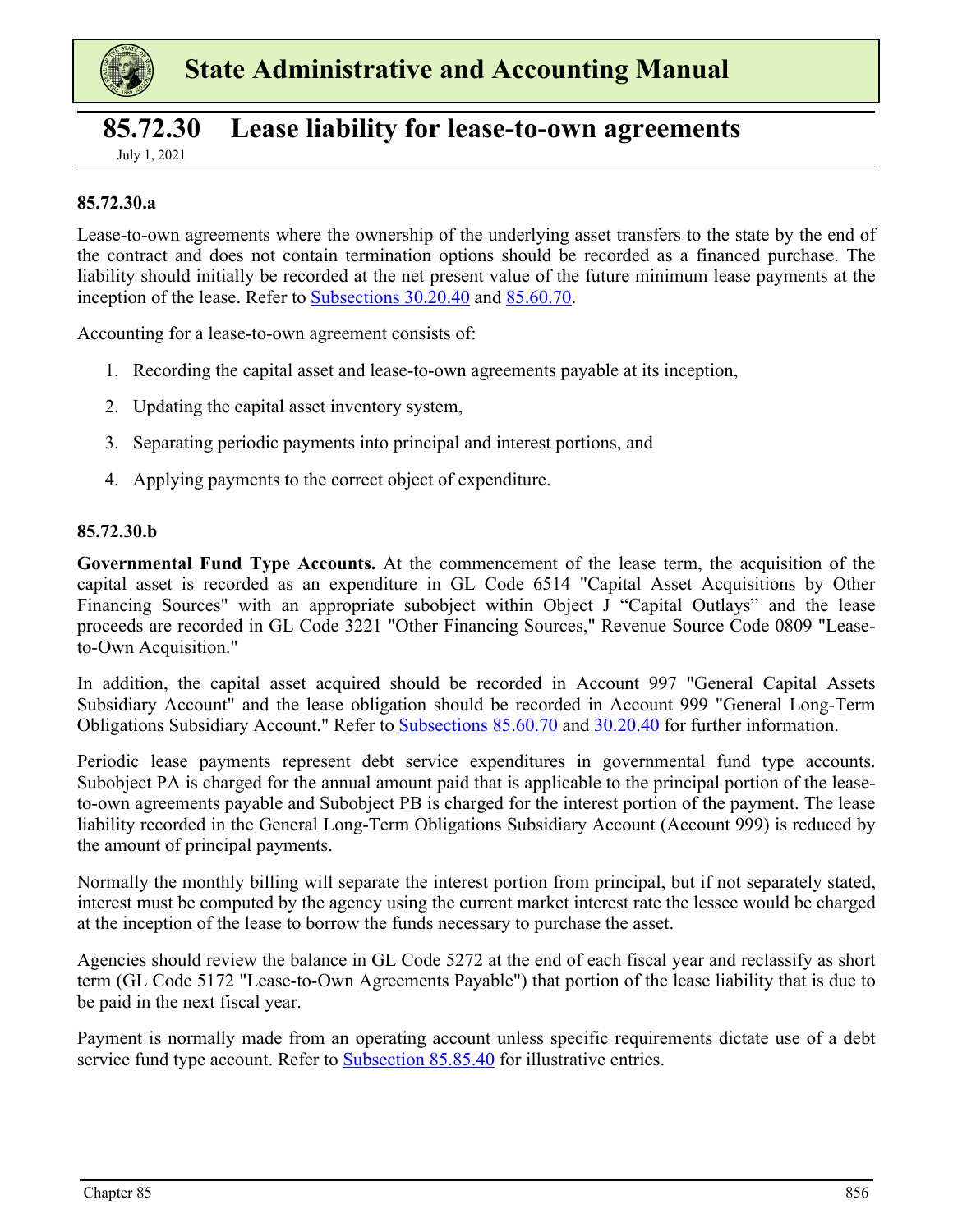<span id="page-7-0"></span>

### **85.72.30 Lease liability for lease-to-own agreements**

July 1, 2021

#### **85.72.30.a**

Lease-to-own agreements where the ownership of the underlying asset transfers to the state by the end of the contract and does not contain termination options should be recorded as a financed purchase. The liability should initially be recorded at the net present value of the future minimum lease payments at the inception of the lease. Refer to Subsections 30.20.40 and 85.60.70.

Accounting for a lease-to-own agreement consists of:

- 1. Recording the capital asset and lease-to-own agreements payable at its inception,
- 2. Updating the capital asset inventory system,
- 3. Separating periodic payments into principal and interest portions, and
- 4. Applying payments to the correct object of expenditure.

#### **85.72.30.b**

**Governmental Fund Type Accounts.** At the commencement of the lease term, the acquisition of the capital asset is recorded as an expenditure in GL Code 6514 "Capital Asset Acquisitions by Other Financing Sources" with an appropriate subobject within Object J "Capital Outlays" and the lease proceeds are recorded in GL Code 3221 "Other Financing Sources," Revenue Source Code 0809 "Leaseto-Own Acquisition."

In addition, the capital asset acquired should be recorded in Account 997 "General Capital Assets Subsidiary Account" and the lease obligation should be recorded in Account 999 "General Long-Term Obligations Subsidiary Account." Refer to Subsections 85.60.70 and 30.20.40 for further information.

Periodic lease payments represent debt service expenditures in governmental fund type accounts. Subobject PA is charged for the annual amount paid that is applicable to the principal portion of the leaseto-own agreements payable and Subobject PB is charged for the interest portion of the payment. The lease liability recorded in the General Long-Term Obligations Subsidiary Account (Account 999) is reduced by the amount of principal payments.

Normally the monthly billing will separate the interest portion from principal, but if not separately stated, interest must be computed by the agency using the current market interest rate the lessee would be charged at the inception of the lease to borrow the funds necessary to purchase the asset.

Agencies should review the balance in GL Code 5272 at the end of each fiscal year and reclassify as short term (GL Code 5172 "Lease-to-Own Agreements Payable") that portion of the lease liability that is due to be paid in the next fiscal year.

Payment is normally made from an operating account unless specific requirements dictate use of a debt service fund type account. Refer to **Subsection 85.85.40** for illustrative entries.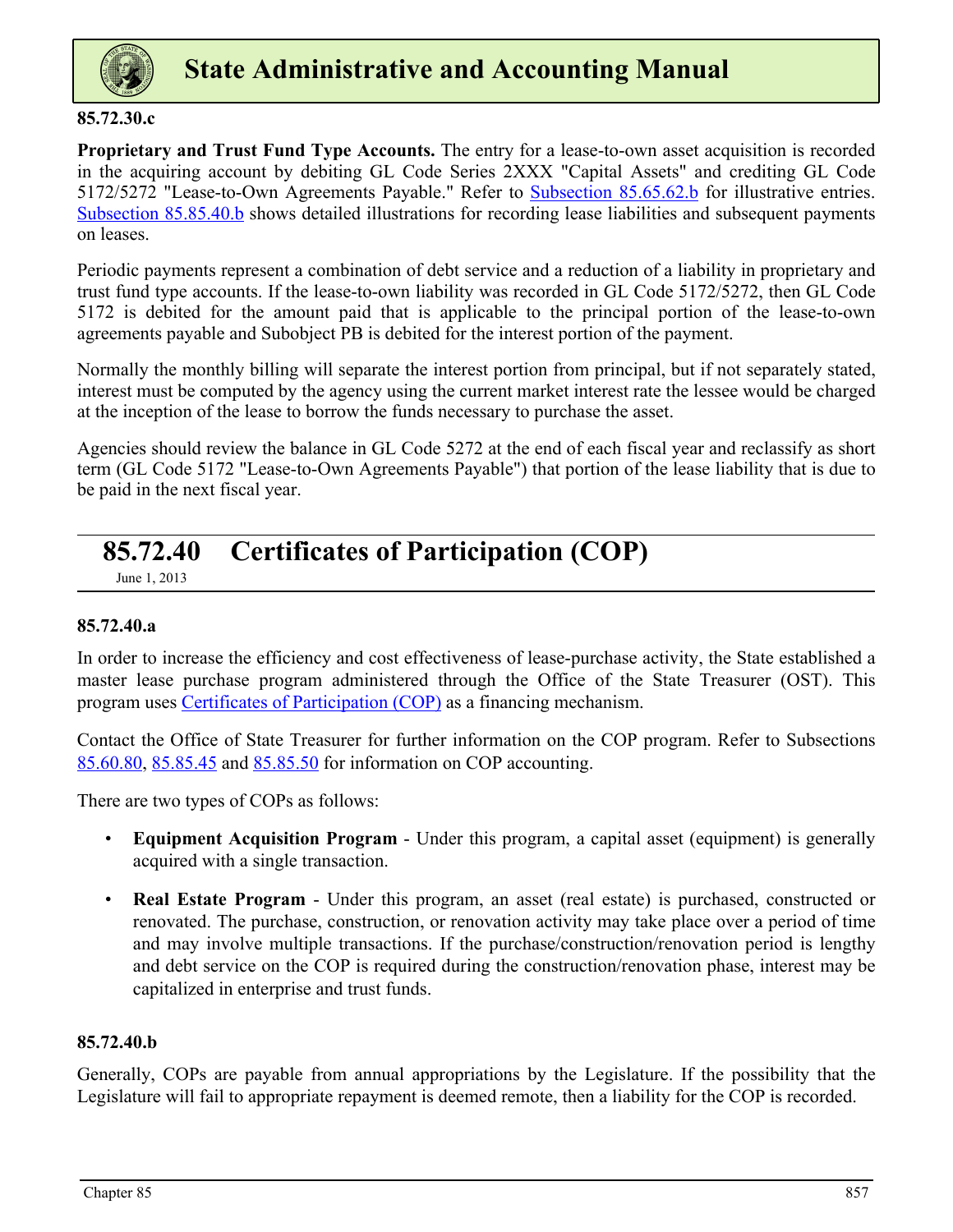<span id="page-8-0"></span>

#### **85.72.30.c**

**Proprietary and Trust Fund Type Accounts.** The entry for a lease-to-own asset acquisition is recorded in the acquiring account by debiting GL Code Series 2XXX "Capital Assets" and crediting GL Code 5172/5272 "Lease-to-Own Agreements Payable." Refer to Subsection 85.65.62.b for illustrative entries. Subsection 85.85.40.b shows detailed illustrations for recording lease liabilities and subsequent payments on leases.

Periodic payments represent a combination of debt service and a reduction of a liability in proprietary and trust fund type accounts. If the lease-to-own liability was recorded in GL Code 5172/5272, then GL Code 5172 is debited for the amount paid that is applicable to the principal portion of the lease-to-own agreements payable and Subobject PB is debited for the interest portion of the payment.

Normally the monthly billing will separate the interest portion from principal, but if not separately stated, interest must be computed by the agency using the current market interest rate the lessee would be charged at the inception of the lease to borrow the funds necessary to purchase the asset.

Agencies should review the balance in GL Code 5272 at the end of each fiscal year and reclassify as short term (GL Code 5172 "Lease-to-Own Agreements Payable") that portion of the lease liability that is due to be paid in the next fiscal year.

# **85.72.40 Certificates of Participation (COP)**

June 1, 2013

#### **85.72.40.a**

In order to increase the efficiency and cost effectiveness of lease-purchase activity, the State established a master lease purchase program administered through the Office of the State Treasurer (OST). This program uses Certificates of Participation (COP) as a financing mechanism.

Contact the Office of State Treasurer for further information on the COP program. Refer to Subsections 85.60.80, 85.85.45 and 85.85.50 for information on COP accounting.

There are two types of COPs as follows:

- **Equipment Acquisition Program** Under this program, a capital asset (equipment) is generally acquired with a single transaction.
- **Real Estate Program** Under this program, an asset (real estate) is purchased, constructed or renovated. The purchase, construction, or renovation activity may take place over a period of time and may involve multiple transactions. If the purchase/construction/renovation period is lengthy and debt service on the COP is required during the construction/renovation phase, interest may be capitalized in enterprise and trust funds.

#### **85.72.40.b**

Generally, COPs are payable from annual appropriations by the Legislature. If the possibility that the Legislature will fail to appropriate repayment is deemed remote, then a liability for the COP is recorded.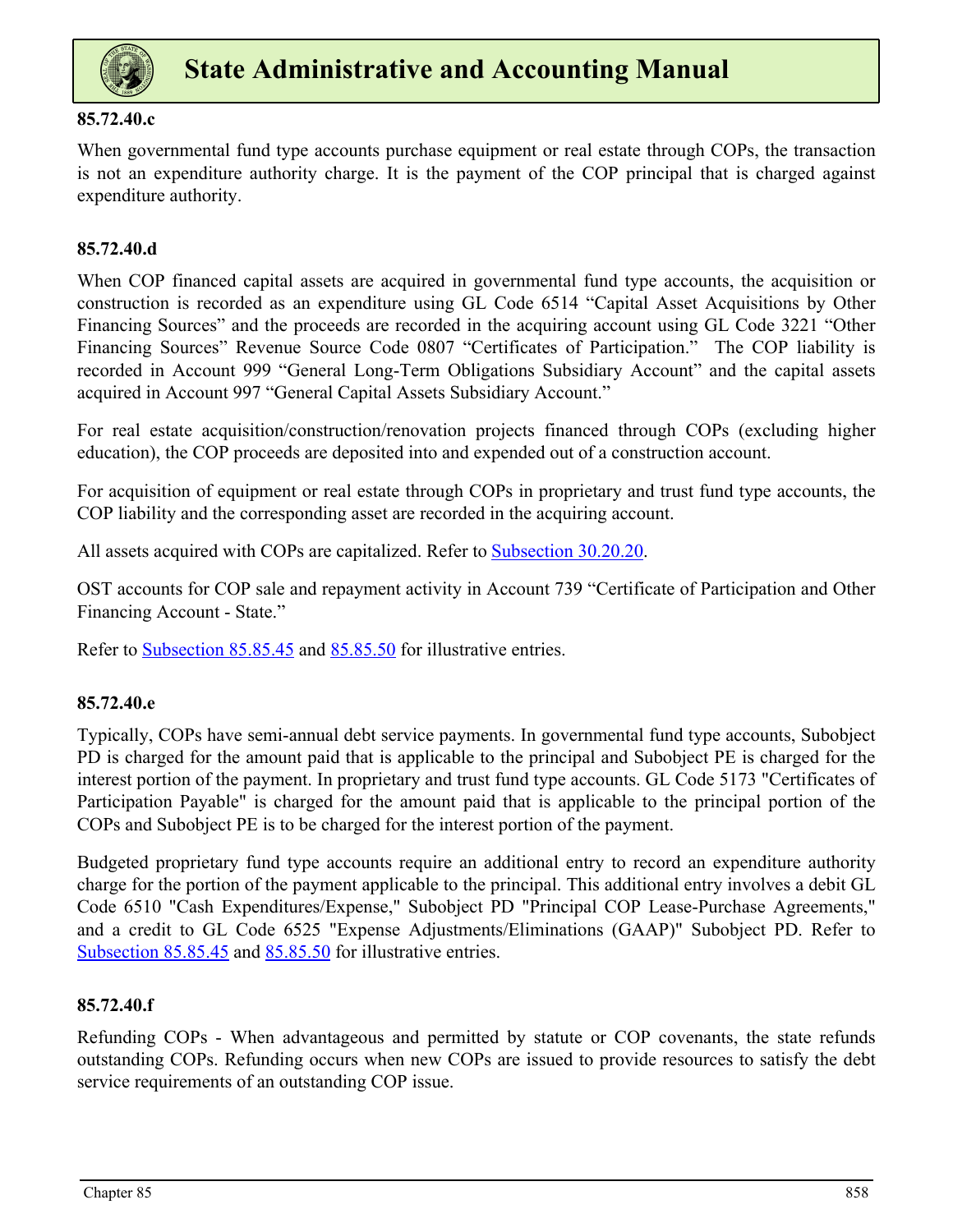

#### **85.72.40.c**

When governmental fund type accounts purchase equipment or real estate through COPs, the transaction is not an expenditure authority charge. It is the payment of the COP principal that is charged against expenditure authority.

### **85.72.40.d**

When COP financed capital assets are acquired in governmental fund type accounts, the acquisition or construction is recorded as an expenditure using GL Code 6514 "Capital Asset Acquisitions by Other Financing Sources" and the proceeds are recorded in the acquiring account using GL Code 3221 "Other Financing Sources" Revenue Source Code 0807 "Certificates of Participation." The COP liability is recorded in Account 999 "General Long-Term Obligations Subsidiary Account" and the capital assets acquired in Account 997 "General Capital Assets Subsidiary Account."

For real estate acquisition/construction/renovation projects financed through COPs (excluding higher education), the COP proceeds are deposited into and expended out of a construction account.

For acquisition of equipment or real estate through COPs in proprietary and trust fund type accounts, the COP liability and the corresponding asset are recorded in the acquiring account.

All assets acquired with COPs are capitalized. Refer to **Subsection 30.20.20.** 

OST accounts for COP sale and repayment activity in Account 739 "Certificate of Participation and Other Financing Account - State."

Refer to Subsection 85.85.45 and 85.85.50 for illustrative entries.

### **85.72.40.e**

Typically, COPs have semi-annual debt service payments. In governmental fund type accounts, Subobject PD is charged for the amount paid that is applicable to the principal and Subobject PE is charged for the interest portion of the payment. In proprietary and trust fund type accounts. GL Code 5173 "Certificates of Participation Payable" is charged for the amount paid that is applicable to the principal portion of the COPs and Subobject PE is to be charged for the interest portion of the payment.

Budgeted proprietary fund type accounts require an additional entry to record an expenditure authority charge for the portion of the payment applicable to the principal. This additional entry involves a debit GL Code 6510 "Cash Expenditures/Expense," Subobject PD "Principal COP Lease-Purchase Agreements," and a credit to GL Code 6525 "Expense Adjustments/Eliminations (GAAP)" Subobject PD. Refer to Subsection 85.85.45 and 85.85.50 for illustrative entries.

### **85.72.40.f**

Refunding COPs - When advantageous and permitted by statute or COP covenants, the state refunds outstanding COPs. Refunding occurs when new COPs are issued to provide resources to satisfy the debt service requirements of an outstanding COP issue.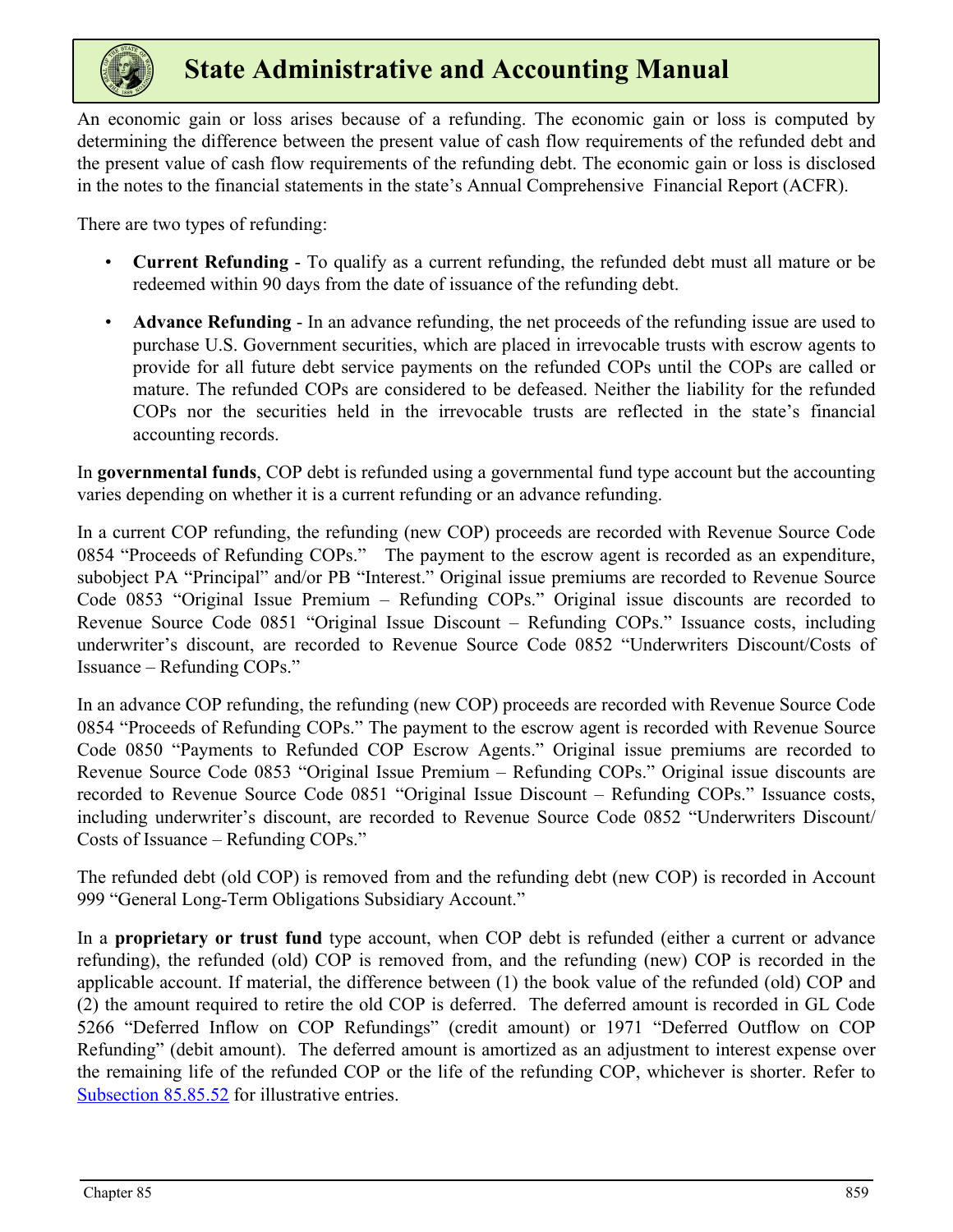

An economic gain or loss arises because of a refunding. The economic gain or loss is computed by determining the difference between the present value of cash flow requirements of the refunded debt and the present value of cash flow requirements of the refunding debt. The economic gain or loss is disclosed in the notes to the financial statements in the state's Annual Comprehensive Financial Report (ACFR).

There are two types of refunding:

- **Current Refunding** To qualify as a current refunding, the refunded debt must all mature or be redeemed within 90 days from the date of issuance of the refunding debt.
- **Advance Refunding** In an advance refunding, the net proceeds of the refunding issue are used to purchase U.S. Government securities, which are placed in irrevocable trusts with escrow agents to provide for all future debt service payments on the refunded COPs until the COPs are called or mature. The refunded COPs are considered to be defeased. Neither the liability for the refunded COPs nor the securities held in the irrevocable trusts are reflected in the state's financial accounting records.

In **governmental funds**, COP debt is refunded using a governmental fund type account but the accounting varies depending on whether it is a current refunding or an advance refunding.

In a current COP refunding, the refunding (new COP) proceeds are recorded with Revenue Source Code 0854 "Proceeds of Refunding COPs." The payment to the escrow agent is recorded as an expenditure, subobject PA "Principal" and/or PB "Interest." Original issue premiums are recorded to Revenue Source Code 0853 "Original Issue Premium – Refunding COPs." Original issue discounts are recorded to Revenue Source Code 0851 "Original Issue Discount – Refunding COPs." Issuance costs, including underwriter's discount, are recorded to Revenue Source Code 0852 "Underwriters Discount/Costs of Issuance – Refunding COPs."

In an advance COP refunding, the refunding (new COP) proceeds are recorded with Revenue Source Code 0854 "Proceeds of Refunding COPs." The payment to the escrow agent is recorded with Revenue Source Code 0850 "Payments to Refunded COP Escrow Agents." Original issue premiums are recorded to Revenue Source Code 0853 "Original Issue Premium – Refunding COPs." Original issue discounts are recorded to Revenue Source Code 0851 "Original Issue Discount – Refunding COPs." Issuance costs, including underwriter's discount, are recorded to Revenue Source Code 0852 "Underwriters Discount/ Costs of Issuance – Refunding COPs."

The refunded debt (old COP) is removed from and the refunding debt (new COP) is recorded in Account 999 "General Long-Term Obligations Subsidiary Account."

In a **proprietary or trust fund** type account, when COP debt is refunded (either a current or advance refunding), the refunded (old) COP is removed from, and the refunding (new) COP is recorded in the applicable account. If material, the difference between (1) the book value of the refunded (old) COP and (2) the amount required to retire the old COP is deferred. The deferred amount is recorded in GL Code 5266 "Deferred Inflow on COP Refundings" (credit amount) or 1971 "Deferred Outflow on COP Refunding" (debit amount). The deferred amount is amortized as an adjustment to interest expense over the remaining life of the refunded COP or the life of the refunding COP, whichever is shorter. Refer to Subsection 85.85.52 for illustrative entries.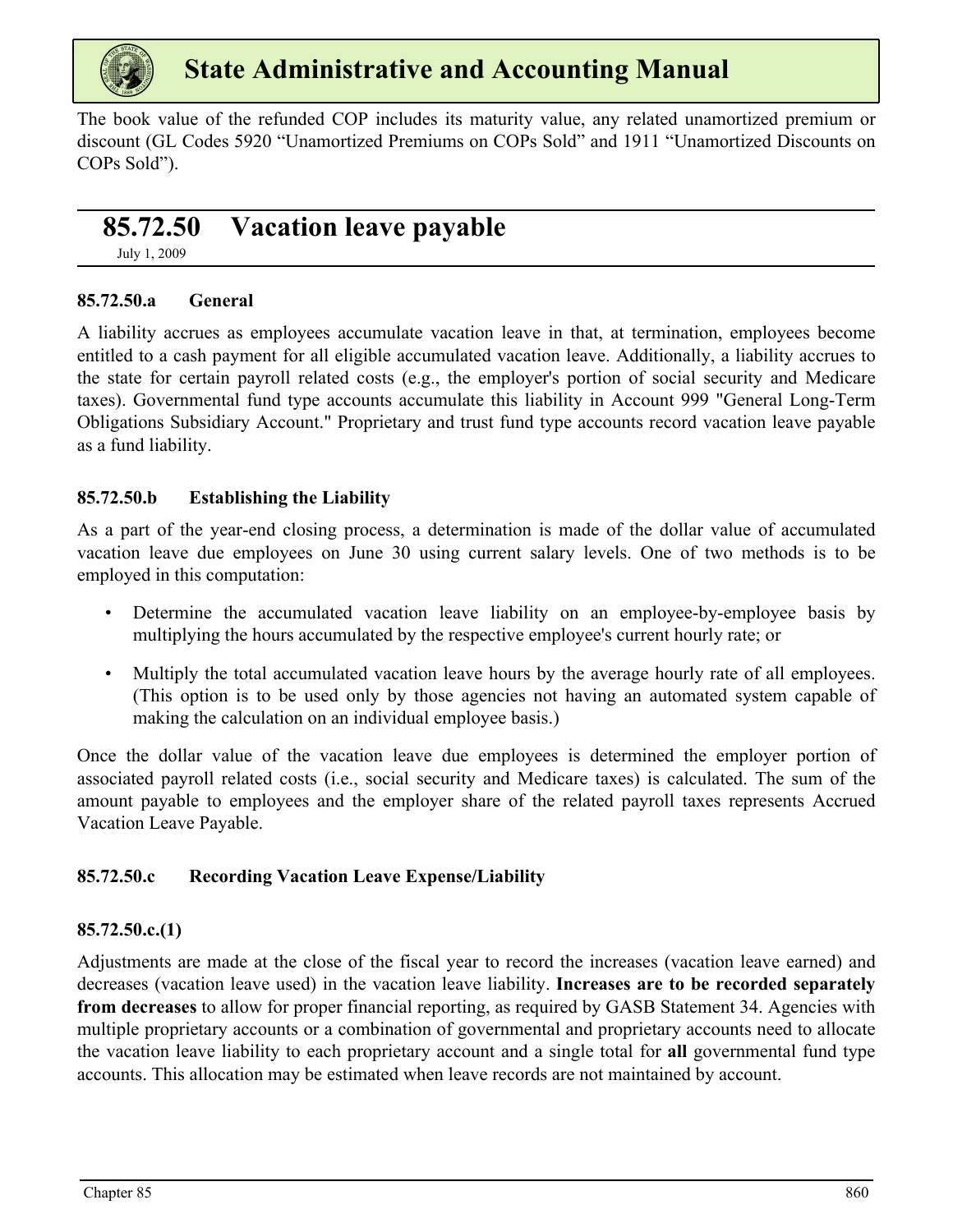<span id="page-11-0"></span>

The book value of the refunded COP includes its maturity value, any related unamortized premium or discount (GL Codes 5920 "Unamortized Premiums on COPs Sold" and 1911 "Unamortized Discounts on COPs Sold").

# **85.72.50 Vacation leave payable**

July 1, 2009

### **85.72.50.a General**

A liability accrues as employees accumulate vacation leave in that, at termination, employees become entitled to a cash payment for all eligible accumulated vacation leave. Additionally, a liability accrues to the state for certain payroll related costs (e.g., the employer's portion of social security and Medicare taxes). Governmental fund type accounts accumulate this liability in Account 999 "General Long-Term Obligations Subsidiary Account." Proprietary and trust fund type accounts record vacation leave payable as a fund liability.

### **85.72.50.b Establishing the Liability**

As a part of the year-end closing process, a determination is made of the dollar value of accumulated vacation leave due employees on June 30 using current salary levels. One of two methods is to be employed in this computation:

- Determine the accumulated vacation leave liability on an employee-by-employee basis by multiplying the hours accumulated by the respective employee's current hourly rate; or
- Multiply the total accumulated vacation leave hours by the average hourly rate of all employees. (This option is to be used only by those agencies not having an automated system capable of making the calculation on an individual employee basis.)

Once the dollar value of the vacation leave due employees is determined the employer portion of associated payroll related costs (i.e., social security and Medicare taxes) is calculated. The sum of the amount payable to employees and the employer share of the related payroll taxes represents Accrued Vacation Leave Payable.

### **85.72.50.c Recording Vacation Leave Expense/Liability**

### **85.72.50.c.(1)**

Adjustments are made at the close of the fiscal year to record the increases (vacation leave earned) and decreases (vacation leave used) in the vacation leave liability. **Increases are to be recorded separately from decreases** to allow for proper financial reporting, as required by GASB Statement 34. Agencies with multiple proprietary accounts or a combination of governmental and proprietary accounts need to allocate the vacation leave liability to each proprietary account and a single total for **all** governmental fund type accounts. This allocation may be estimated when leave records are not maintained by account.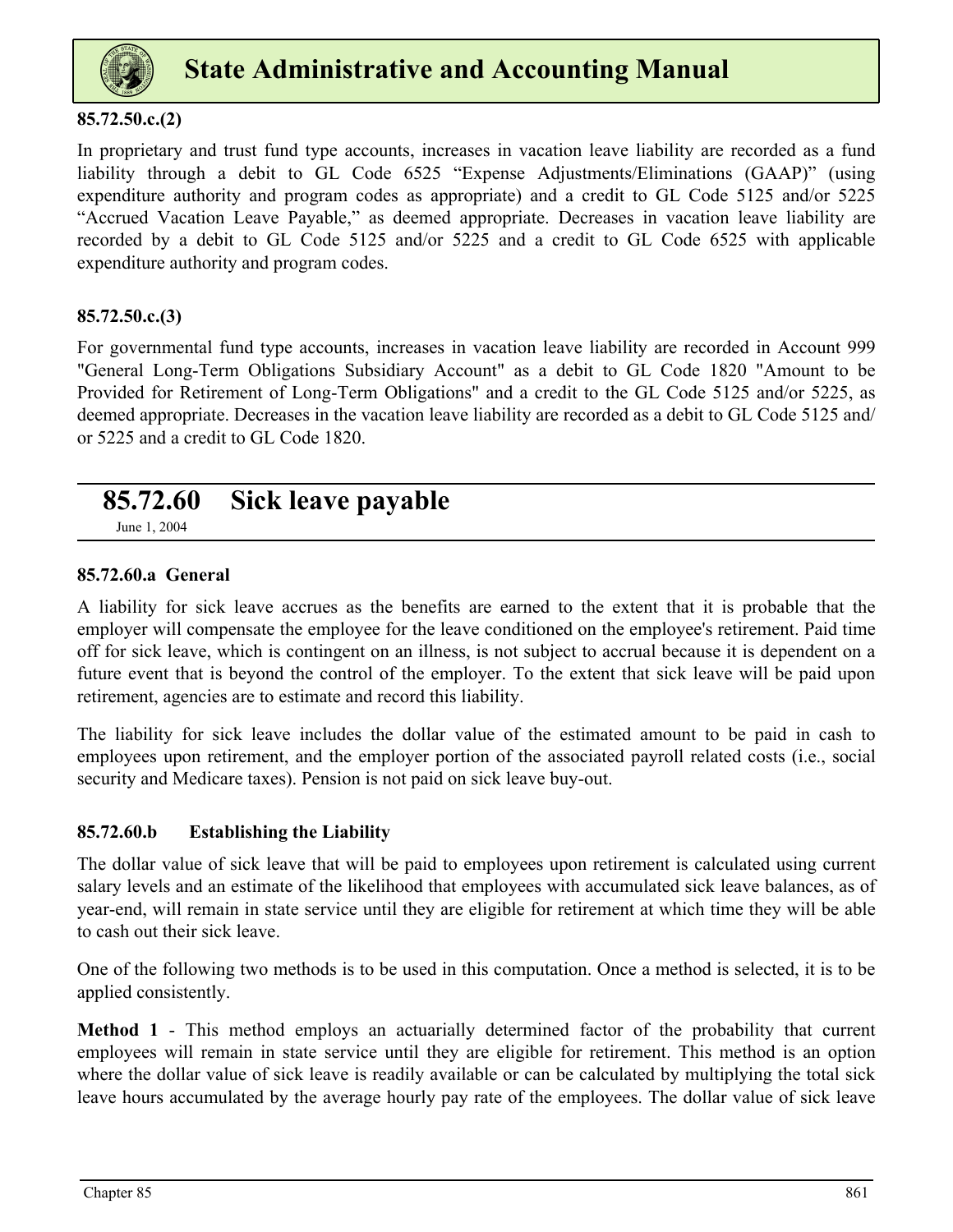<span id="page-12-0"></span>

### **85.72.50.c.(2)**

In proprietary and trust fund type accounts, increases in vacation leave liability are recorded as a fund liability through a debit to GL Code 6525 "Expense Adjustments/Eliminations (GAAP)" (using expenditure authority and program codes as appropriate) and a credit to GL Code 5125 and/or 5225 "Accrued Vacation Leave Payable," as deemed appropriate. Decreases in vacation leave liability are recorded by a debit to GL Code 5125 and/or 5225 and a credit to GL Code 6525 with applicable expenditure authority and program codes.

#### **85.72.50.c.(3)**

For governmental fund type accounts, increases in vacation leave liability are recorded in Account 999 "General Long-Term Obligations Subsidiary Account" as a debit to GL Code 1820 "Amount to be Provided for Retirement of Long-Term Obligations" and a credit to the GL Code 5125 and/or 5225, as deemed appropriate. Decreases in the vacation leave liability are recorded as a debit to GL Code 5125 and/ or 5225 and a credit to GL Code 1820.

# **85.72.60 Sick leave payable**

June 1, 2004

#### **85.72.60.a General**

A liability for sick leave accrues as the benefits are earned to the extent that it is probable that the employer will compensate the employee for the leave conditioned on the employee's retirement. Paid time off for sick leave, which is contingent on an illness, is not subject to accrual because it is dependent on a future event that is beyond the control of the employer. To the extent that sick leave will be paid upon retirement, agencies are to estimate and record this liability.

The liability for sick leave includes the dollar value of the estimated amount to be paid in cash to employees upon retirement, and the employer portion of the associated payroll related costs (i.e., social security and Medicare taxes). Pension is not paid on sick leave buy-out.

#### **85.72.60.b Establishing the Liability**

The dollar value of sick leave that will be paid to employees upon retirement is calculated using current salary levels and an estimate of the likelihood that employees with accumulated sick leave balances, as of year-end, will remain in state service until they are eligible for retirement at which time they will be able to cash out their sick leave.

One of the following two methods is to be used in this computation. Once a method is selected, it is to be applied consistently.

**Method 1** - This method employs an actuarially determined factor of the probability that current employees will remain in state service until they are eligible for retirement. This method is an option where the dollar value of sick leave is readily available or can be calculated by multiplying the total sick leave hours accumulated by the average hourly pay rate of the employees. The dollar value of sick leave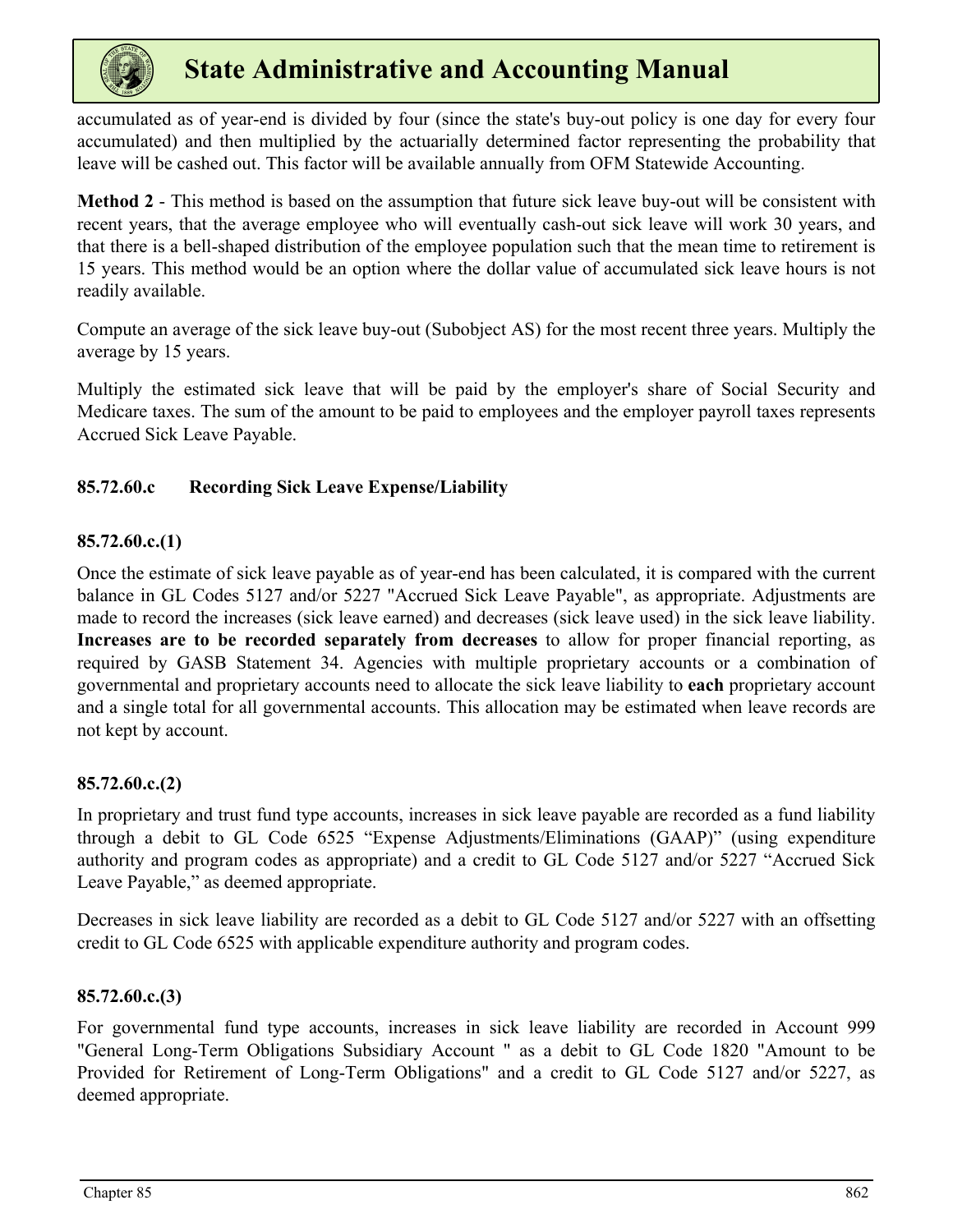

accumulated as of year-end is divided by four (since the state's buy-out policy is one day for every four accumulated) and then multiplied by the actuarially determined factor representing the probability that leave will be cashed out. This factor will be available annually from OFM Statewide Accounting.

**Method 2** - This method is based on the assumption that future sick leave buy-out will be consistent with recent years, that the average employee who will eventually cash-out sick leave will work 30 years, and that there is a bell-shaped distribution of the employee population such that the mean time to retirement is 15 years. This method would be an option where the dollar value of accumulated sick leave hours is not readily available.

Compute an average of the sick leave buy-out (Subobject AS) for the most recent three years. Multiply the average by 15 years.

Multiply the estimated sick leave that will be paid by the employer's share of Social Security and Medicare taxes. The sum of the amount to be paid to employees and the employer payroll taxes represents Accrued Sick Leave Payable.

### **85.72.60.c Recording Sick Leave Expense/Liability**

#### **85.72.60.c.(1)**

Once the estimate of sick leave payable as of year-end has been calculated, it is compared with the current balance in GL Codes 5127 and/or 5227 "Accrued Sick Leave Payable", as appropriate. Adjustments are made to record the increases (sick leave earned) and decreases (sick leave used) in the sick leave liability. **Increases are to be recorded separately from decreases** to allow for proper financial reporting, as required by GASB Statement 34. Agencies with multiple proprietary accounts or a combination of governmental and proprietary accounts need to allocate the sick leave liability to **each** proprietary account and a single total for all governmental accounts. This allocation may be estimated when leave records are not kept by account.

### **85.72.60.c.(2)**

In proprietary and trust fund type accounts, increases in sick leave payable are recorded as a fund liability through a debit to GL Code 6525 "Expense Adjustments/Eliminations (GAAP)" (using expenditure authority and program codes as appropriate) and a credit to GL Code 5127 and/or 5227 "Accrued Sick Leave Payable," as deemed appropriate.

Decreases in sick leave liability are recorded as a debit to GL Code 5127 and/or 5227 with an offsetting credit to GL Code 6525 with applicable expenditure authority and program codes.

#### **85.72.60.c.(3)**

For governmental fund type accounts, increases in sick leave liability are recorded in Account 999 "General Long-Term Obligations Subsidiary Account " as a debit to GL Code 1820 "Amount to be Provided for Retirement of Long-Term Obligations" and a credit to GL Code 5127 and/or 5227, as deemed appropriate.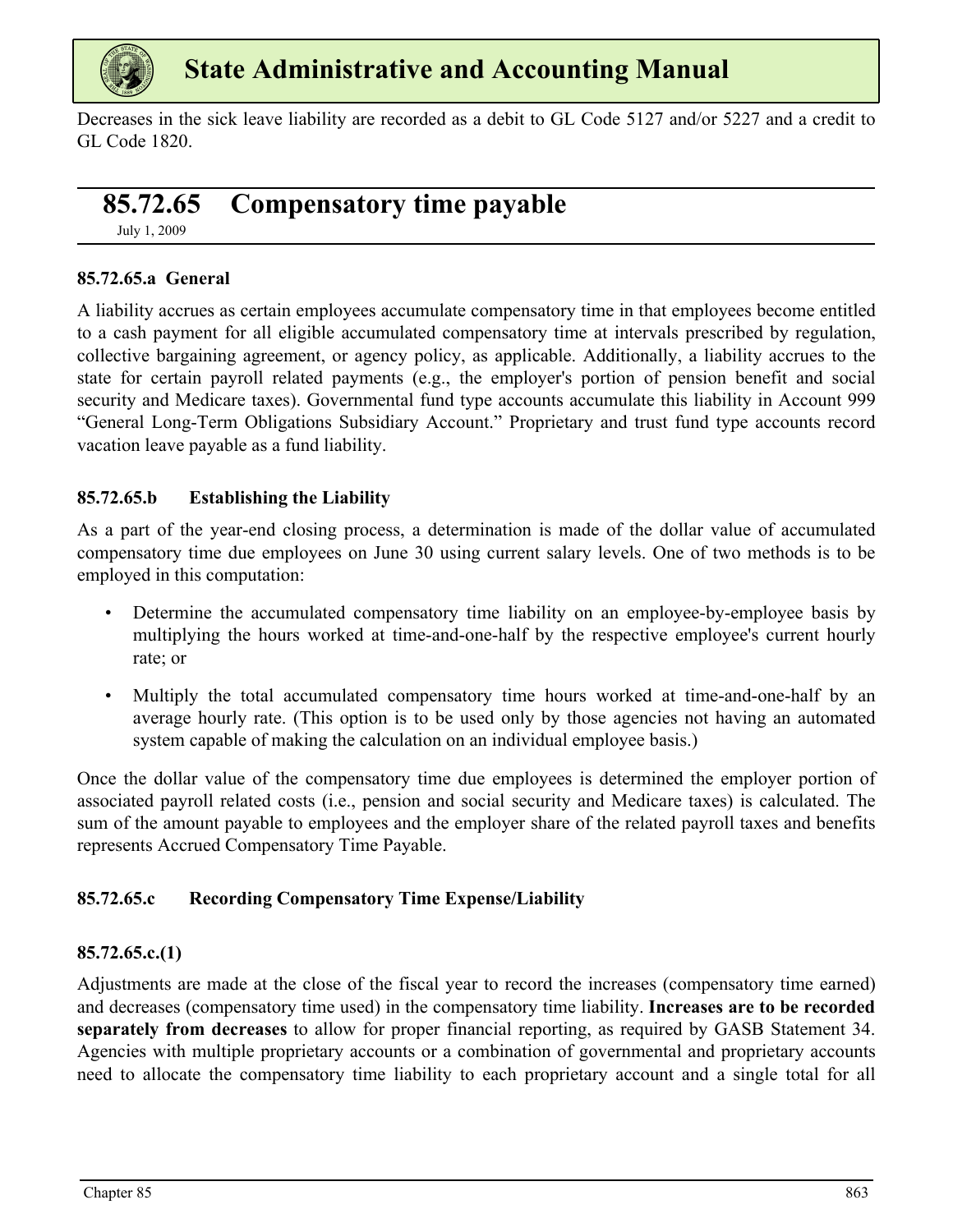<span id="page-14-0"></span>

Decreases in the sick leave liability are recorded as a debit to GL Code 5127 and/or 5227 and a credit to GL Code 1820.

# **85.72.65 Compensatory time payable**

July 1, 2009

#### **85.72.65.a General**

A liability accrues as certain employees accumulate compensatory time in that employees become entitled to a cash payment for all eligible accumulated compensatory time at intervals prescribed by regulation, collective bargaining agreement, or agency policy, as applicable. Additionally, a liability accrues to the state for certain payroll related payments (e.g., the employer's portion of pension benefit and social security and Medicare taxes). Governmental fund type accounts accumulate this liability in Account 999 "General Long-Term Obligations Subsidiary Account." Proprietary and trust fund type accounts record vacation leave payable as a fund liability.

### **85.72.65.b Establishing the Liability**

As a part of the year-end closing process, a determination is made of the dollar value of accumulated compensatory time due employees on June 30 using current salary levels. One of two methods is to be employed in this computation:

- Determine the accumulated compensatory time liability on an employee-by-employee basis by multiplying the hours worked at time-and-one-half by the respective employee's current hourly rate; or
- Multiply the total accumulated compensatory time hours worked at time-and-one-half by an average hourly rate. (This option is to be used only by those agencies not having an automated system capable of making the calculation on an individual employee basis.)

Once the dollar value of the compensatory time due employees is determined the employer portion of associated payroll related costs (i.e., pension and social security and Medicare taxes) is calculated. The sum of the amount payable to employees and the employer share of the related payroll taxes and benefits represents Accrued Compensatory Time Payable.

#### **85.72.65.c Recording Compensatory Time Expense/Liability**

#### **85.72.65.c.(1)**

Adjustments are made at the close of the fiscal year to record the increases (compensatory time earned) and decreases (compensatory time used) in the compensatory time liability. **Increases are to be recorded separately from decreases** to allow for proper financial reporting, as required by GASB Statement 34. Agencies with multiple proprietary accounts or a combination of governmental and proprietary accounts need to allocate the compensatory time liability to each proprietary account and a single total for all